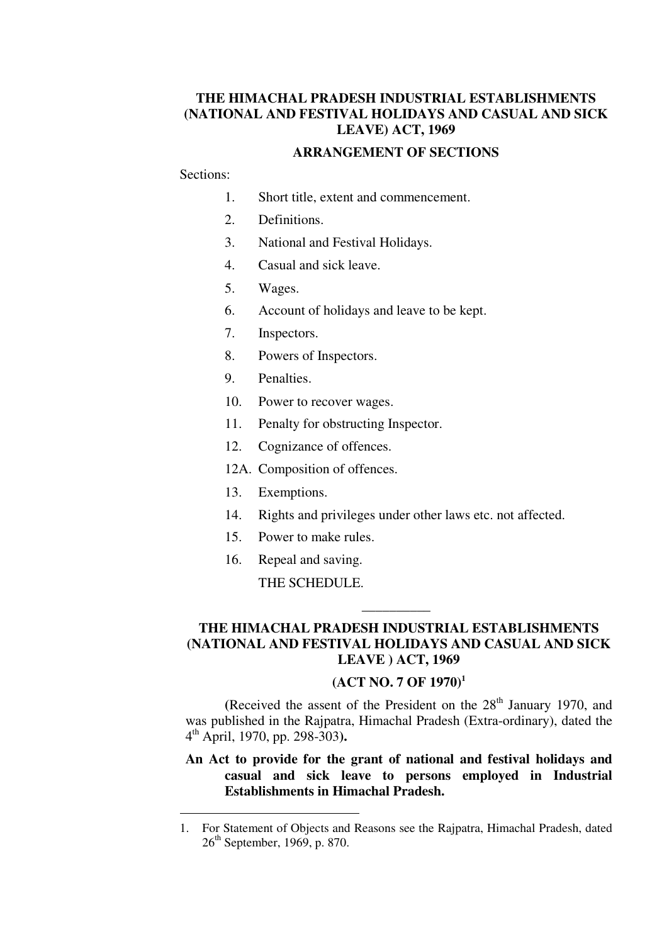## **THE HIMACHAL PRADESH INDUSTRIAL ESTABLISHMENTS (NATIONAL AND FESTIVAL HOLIDAYS AND CASUAL AND SICK LEAVE) ACT, 1969**

#### **ARRANGEMENT OF SECTIONS**

## Sections:

-

- 1. Short title, extent and commencement.
- 2. Definitions.
- 3. National and Festival Holidays.
- 4. Casual and sick leave.
- 5. Wages.
- 6. Account of holidays and leave to be kept.
- 7. Inspectors.
- 8. Powers of Inspectors.
- 9. Penalties.
- 10. Power to recover wages.
- 11. Penalty for obstructing Inspector.
- 12. Cognizance of offences.
- 12A. Composition of offences.
- 13. Exemptions.
- 14. Rights and privileges under other laws etc. not affected.
- 15. Power to make rules.
- 16. Repeal and saving.

THE SCHEDULE.

## **THE HIMACHAL PRADESH INDUSTRIAL ESTABLISHMENTS (NATIONAL AND FESTIVAL HOLIDAYS AND CASUAL AND SICK LEAVE ) ACT, 1969**

**\_\_\_\_\_\_\_\_\_\_** 

#### **(ACT NO. 7 OF 1970)<sup>1</sup>**

(Received the assent of the President on the  $28<sup>th</sup>$  January 1970, and was published in the Rajpatra, Himachal Pradesh (Extra-ordinary), dated the 4 th April, 1970, pp. 298-303**).**

#### **An Act to provide for the grant of national and festival holidays and casual and sick leave to persons employed in Industrial Establishments in Himachal Pradesh.**

<sup>1.</sup> For Statement of Objects and Reasons see the Rajpatra, Himachal Pradesh, dated 26th September, 1969, p. 870.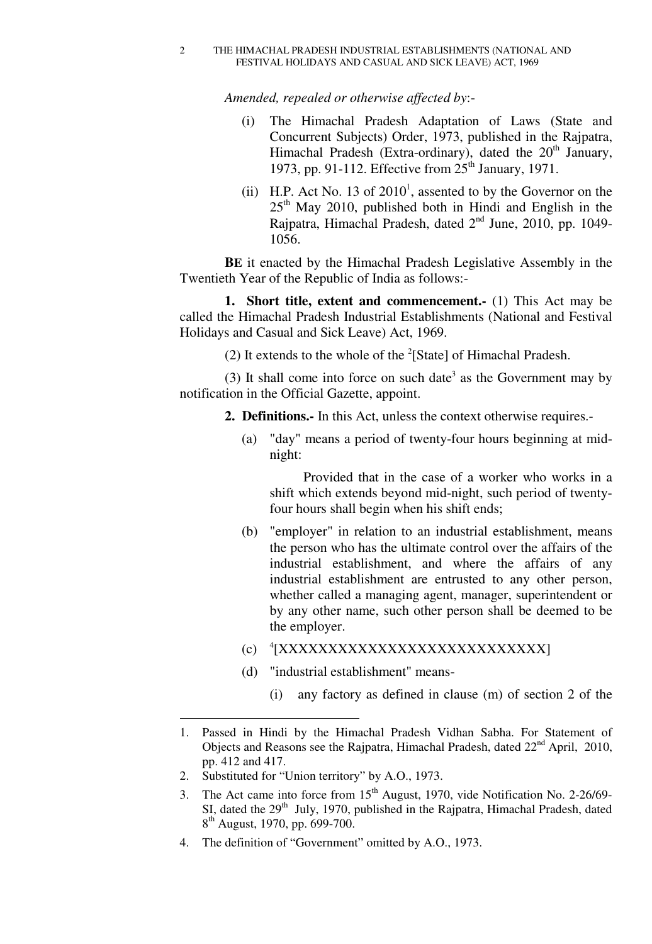#### 2 THE HIMACHAL PRADESH INDUSTRIAL ESTABLISHMENTS (NATIONAL AND FESTIVAL HOLIDAYS AND CASUAL AND SICK LEAVE) ACT, 1969

*Amended, repealed or otherwise affected by*:-

- (i) The Himachal Pradesh Adaptation of Laws (State and Concurrent Subjects) Order, 1973, published in the Rajpatra, Himachal Pradesh (Extra-ordinary), dated the  $20<sup>th</sup>$  January, 1973, pp. 91-112. Effective from  $25<sup>th</sup>$  January, 1971.
- (ii) H.P. Act No. 13 of  $2010<sup>1</sup>$ , assented to by the Governor on the  $25<sup>th</sup>$  May 2010, published both in Hindi and English in the Rajpatra, Himachal Pradesh, dated  $2<sup>nd</sup>$  June, 2010, pp. 1049-1056.

**BE** it enacted by the Himachal Pradesh Legislative Assembly in the Twentieth Year of the Republic of India as follows:-

**1. Short title, extent and commencement.-** (1) This Act may be called the Himachal Pradesh Industrial Establishments (National and Festival Holidays and Casual and Sick Leave) Act, 1969.

(2) It extends to the whole of the  $2$ [State] of Himachal Pradesh.

(3) It shall come into force on such date<sup>3</sup> as the Government may by notification in the Official Gazette, appoint.

- **2. Definitions.-** In this Act, unless the context otherwise requires.-
	- (a) "day" means a period of twenty-four hours beginning at midnight:

Provided that in the case of a worker who works in a shift which extends beyond mid-night, such period of twentyfour hours shall begin when his shift ends;

- (b) "employer" in relation to an industrial establishment, means the person who has the ultimate control over the affairs of the industrial establishment, and where the affairs of any industrial establishment are entrusted to any other person, whether called a managing agent, manager, superintendent or by any other name, such other person shall be deemed to be the employer.
- (c) <sup>4</sup>[XXXXXXXXXXXXXXXXXXXXXXXXXXXXX
- (d) "industrial establishment" means-
	- (i) any factory as defined in clause (m) of section 2 of the

4. The definition of "Government" omitted by A.O., 1973.

-

<sup>1.</sup> Passed in Hindi by the Himachal Pradesh Vidhan Sabha. For Statement of Objects and Reasons see the Rajpatra, Himachal Pradesh, dated 22nd April, 2010, pp. 412 and 417.

<sup>2.</sup> Substituted for "Union territory" by A.O., 1973.

<sup>3.</sup> The Act came into force from 15<sup>th</sup> August, 1970, vide Notification No. 2-26/69-SI, dated the 29<sup>th</sup> July, 1970, published in the Rajpatra, Himachal Pradesh, dated 8<sup>th</sup> August, 1970, pp. 699-700.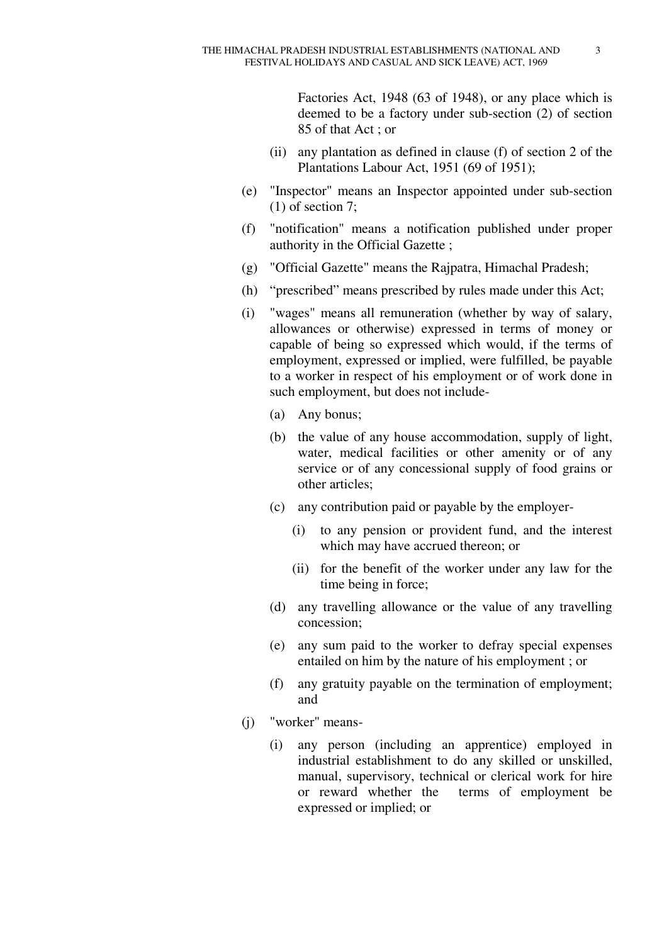Factories Act, 1948 (63 of 1948), or any place which is deemed to be a factory under sub-section (2) of section 85 of that Act ; or

- (ii) any plantation as defined in clause (f) of section 2 of the Plantations Labour Act, 1951 (69 of 1951);
- (e) "Inspector" means an Inspector appointed under sub-section (1) of section 7;
- (f) "notification" means a notification published under proper authority in the Official Gazette ;
- (g) "Official Gazette" means the Rajpatra, Himachal Pradesh;
- (h) "prescribed" means prescribed by rules made under this Act;
- (i) "wages" means all remuneration (whether by way of salary, allowances or otherwise) expressed in terms of money or capable of being so expressed which would, if the terms of employment, expressed or implied, were fulfilled, be payable to a worker in respect of his employment or of work done in such employment, but does not include-
	- (a) Any bonus;
	- (b) the value of any house accommodation, supply of light, water, medical facilities or other amenity or of any service or of any concessional supply of food grains or other articles;
	- (c) any contribution paid or payable by the employer-
		- (i) to any pension or provident fund, and the interest which may have accrued thereon; or
		- (ii) for the benefit of the worker under any law for the time being in force;
	- (d) any travelling allowance or the value of any travelling concession;
	- (e) any sum paid to the worker to defray special expenses entailed on him by the nature of his employment ; or
	- (f) any gratuity payable on the termination of employment; and
- (j) "worker" means-
	- (i) any person (including an apprentice) employed in industrial establishment to do any skilled or unskilled, manual, supervisory, technical or clerical work for hire or reward whether the terms of employment be expressed or implied; or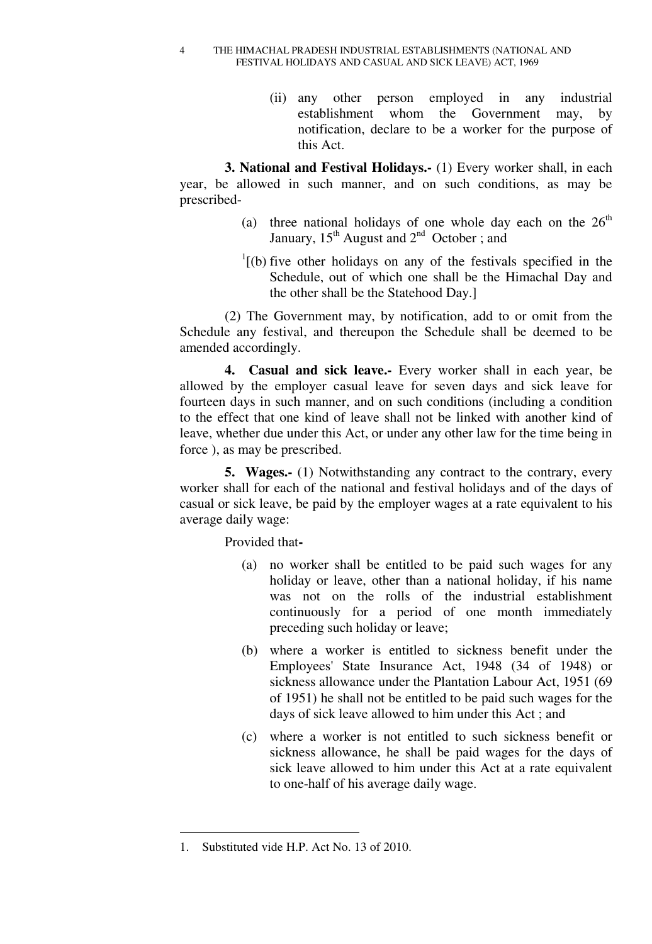4 THE HIMACHAL PRADESH INDUSTRIAL ESTABLISHMENTS (NATIONAL AND FESTIVAL HOLIDAYS AND CASUAL AND SICK LEAVE) ACT, 1969

> (ii) any other person employed in any industrial establishment whom the Government may, by notification, declare to be a worker for the purpose of this Act.

**3. National and Festival Holidays.-** (1) Every worker shall, in each year, be allowed in such manner, and on such conditions, as may be prescribed-

- (a) three national holidays of one whole day each on the  $26<sup>th</sup>$ January,  $15^{th}$  August and  $2^{nd}$  October; and
- $1$ <sup>1</sup>[(b) five other holidays on any of the festivals specified in the Schedule, out of which one shall be the Himachal Day and the other shall be the Statehood Day.]

(2) The Government may, by notification, add to or omit from the Schedule any festival, and thereupon the Schedule shall be deemed to be amended accordingly.

**4. Casual and sick leave.-** Every worker shall in each year, be allowed by the employer casual leave for seven days and sick leave for fourteen days in such manner, and on such conditions (including a condition to the effect that one kind of leave shall not be linked with another kind of leave, whether due under this Act, or under any other law for the time being in force ), as may be prescribed.

**5. Wages.-** (1) Notwithstanding any contract to the contrary, every worker shall for each of the national and festival holidays and of the days of casual or sick leave, be paid by the employer wages at a rate equivalent to his average daily wage:

Provided that**-** 

- (a) no worker shall be entitled to be paid such wages for any holiday or leave, other than a national holiday, if his name was not on the rolls of the industrial establishment continuously for a period of one month immediately preceding such holiday or leave;
- (b) where a worker is entitled to sickness benefit under the Employees' State Insurance Act, 1948 (34 of 1948) or sickness allowance under the Plantation Labour Act, 1951 (69 of 1951) he shall not be entitled to be paid such wages for the days of sick leave allowed to him under this Act ; and
- (c) where a worker is not entitled to such sickness benefit or sickness allowance, he shall be paid wages for the days of sick leave allowed to him under this Act at a rate equivalent to one-half of his average daily wage.

<sup>1.</sup> Substituted vide H.P. Act No. 13 of 2010.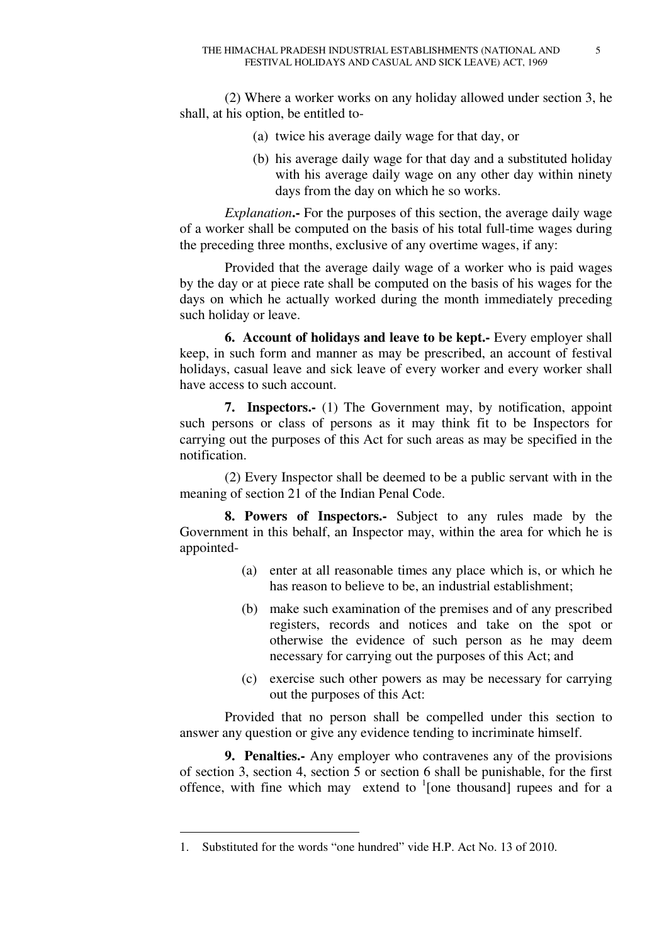(2) Where a worker works on any holiday allowed under section 3, he shall, at his option, be entitled to-

- (a) twice his average daily wage for that day, or
- (b) his average daily wage for that day and a substituted holiday with his average daily wage on any other day within ninety days from the day on which he so works.

*Explanation***.-** For the purposes of this section, the average daily wage of a worker shall be computed on the basis of his total full-time wages during the preceding three months, exclusive of any overtime wages, if any:

Provided that the average daily wage of a worker who is paid wages by the day or at piece rate shall be computed on the basis of his wages for the days on which he actually worked during the month immediately preceding such holiday or leave.

**6. Account of holidays and leave to be kept.-** Every employer shall keep, in such form and manner as may be prescribed, an account of festival holidays, casual leave and sick leave of every worker and every worker shall have access to such account.

**7. Inspectors.-** (1) The Government may, by notification, appoint such persons or class of persons as it may think fit to be Inspectors for carrying out the purposes of this Act for such areas as may be specified in the notification.

(2) Every Inspector shall be deemed to be a public servant with in the meaning of section 21 of the Indian Penal Code.

**8. Powers of Inspectors.-** Subject to any rules made by the Government in this behalf, an Inspector may, within the area for which he is appointed-

- (a) enter at all reasonable times any place which is, or which he has reason to believe to be, an industrial establishment;
- (b) make such examination of the premises and of any prescribed registers, records and notices and take on the spot or otherwise the evidence of such person as he may deem necessary for carrying out the purposes of this Act; and
- (c) exercise such other powers as may be necessary for carrying out the purposes of this Act:

Provided that no person shall be compelled under this section to answer any question or give any evidence tending to incriminate himself.

**9. Penalties.-** Any employer who contravenes any of the provisions of section 3, section 4, section 5 or section 6 shall be punishable, for the first offence, with fine which may extend to  $\frac{1}{2}$  [one thousand] rupees and for a

<sup>1.</sup> Substituted for the words "one hundred" vide H.P. Act No. 13 of 2010.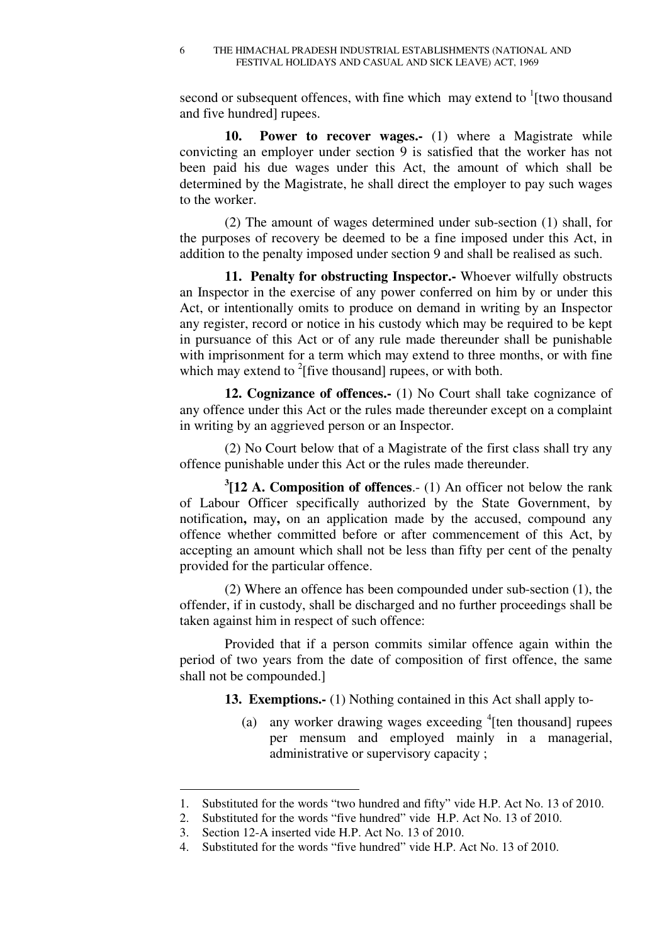second or subsequent offences, with fine which may extend to  $\frac{1}{1}$  [two thousand and five hundred] rupees.

**10. Power to recover wages.-** (1) where a Magistrate while convicting an employer under section 9 is satisfied that the worker has not been paid his due wages under this Act, the amount of which shall be determined by the Magistrate, he shall direct the employer to pay such wages to the worker.

(2) The amount of wages determined under sub-section (1) shall, for the purposes of recovery be deemed to be a fine imposed under this Act, in addition to the penalty imposed under section 9 and shall be realised as such.

**11. Penalty for obstructing Inspector.-** Whoever wilfully obstructs an Inspector in the exercise of any power conferred on him by or under this Act, or intentionally omits to produce on demand in writing by an Inspector any register, record or notice in his custody which may be required to be kept in pursuance of this Act or of any rule made thereunder shall be punishable with imprisonment for a term which may extend to three months, or with fine which may extend to  $2$ [five thousand] rupees, or with both.

**12. Cognizance of offences.-** (1) No Court shall take cognizance of any offence under this Act or the rules made thereunder except on a complaint in writing by an aggrieved person or an Inspector.

(2) No Court below that of a Magistrate of the first class shall try any offence punishable under this Act or the rules made thereunder.

**3 [12 A. Composition of offences**.- (1) An officer not below the rank of Labour Officer specifically authorized by the State Government, by notification**,** may**,** on an application made by the accused, compound any offence whether committed before or after commencement of this Act, by accepting an amount which shall not be less than fifty per cent of the penalty provided for the particular offence.

(2) Where an offence has been compounded under sub-section (1), the offender, if in custody, shall be discharged and no further proceedings shall be taken against him in respect of such offence:

Provided that if a person commits similar offence again within the period of two years from the date of composition of first offence, the same shall not be compounded.]

**13. Exemptions.-** (1) Nothing contained in this Act shall apply to-

(a) any worker drawing wages exceeding  ${}^{4}$ [ten thousand] rupees per mensum and employed mainly in a managerial, administrative or supervisory capacity ;

-

<sup>1.</sup> Substituted for the words "two hundred and fifty" vide H.P. Act No. 13 of 2010.

<sup>2.</sup> Substituted for the words "five hundred" vide H.P. Act No. 13 of 2010.

<sup>3.</sup> Section 12-A inserted vide H.P. Act No. 13 of 2010.

<sup>4.</sup> Substituted for the words "five hundred" vide H.P. Act No. 13 of 2010.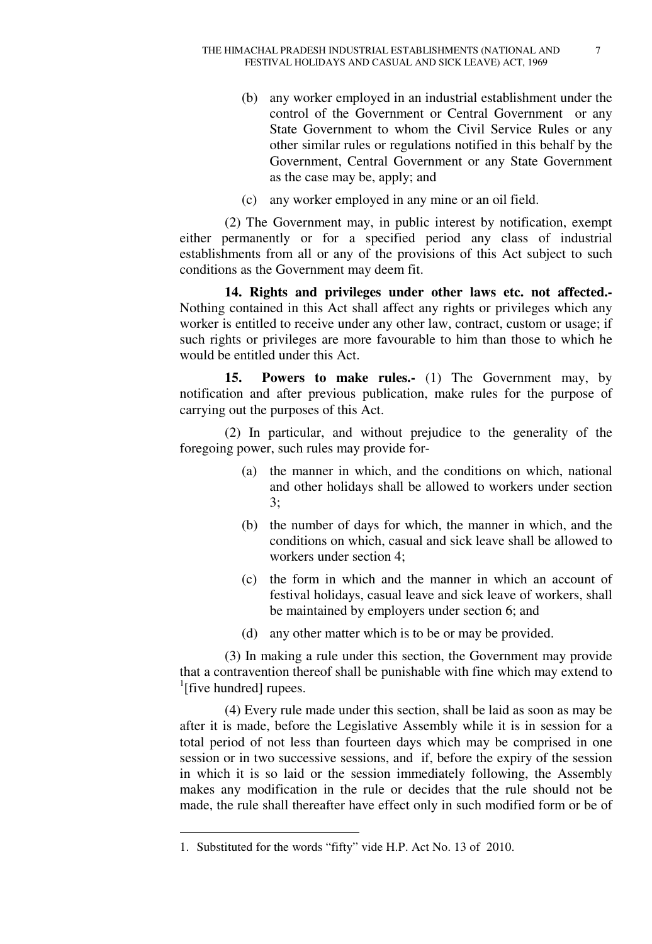- (b) any worker employed in an industrial establishment under the control of the Government or Central Government or any State Government to whom the Civil Service Rules or any other similar rules or regulations notified in this behalf by the Government, Central Government or any State Government as the case may be, apply; and
- (c) any worker employed in any mine or an oil field.

(2) The Government may, in public interest by notification, exempt either permanently or for a specified period any class of industrial establishments from all or any of the provisions of this Act subject to such conditions as the Government may deem fit.

**14. Rights and privileges under other laws etc. not affected.-**  Nothing contained in this Act shall affect any rights or privileges which any worker is entitled to receive under any other law, contract, custom or usage; if such rights or privileges are more favourable to him than those to which he would be entitled under this Act.

**15. Powers to make rules.-** (1) The Government may, by notification and after previous publication, make rules for the purpose of carrying out the purposes of this Act.

(2) In particular, and without prejudice to the generality of the foregoing power, such rules may provide for-

- (a) the manner in which, and the conditions on which, national and other holidays shall be allowed to workers under section 3;
- (b) the number of days for which, the manner in which, and the conditions on which, casual and sick leave shall be allowed to workers under section 4;
- (c) the form in which and the manner in which an account of festival holidays, casual leave and sick leave of workers, shall be maintained by employers under section 6; and
- (d) any other matter which is to be or may be provided.

(3) In making a rule under this section, the Government may provide that a contravention thereof shall be punishable with fine which may extend to <sup>1</sup>[five hundred] rupees.

(4) Every rule made under this section, shall be laid as soon as may be after it is made, before the Legislative Assembly while it is in session for a total period of not less than fourteen days which may be comprised in one session or in two successive sessions, and if, before the expiry of the session in which it is so laid or the session immediately following, the Assembly makes any modification in the rule or decides that the rule should not be made, the rule shall thereafter have effect only in such modified form or be of

<sup>1.</sup> Substituted for the words "fifty" vide H.P. Act No. 13 of 2010.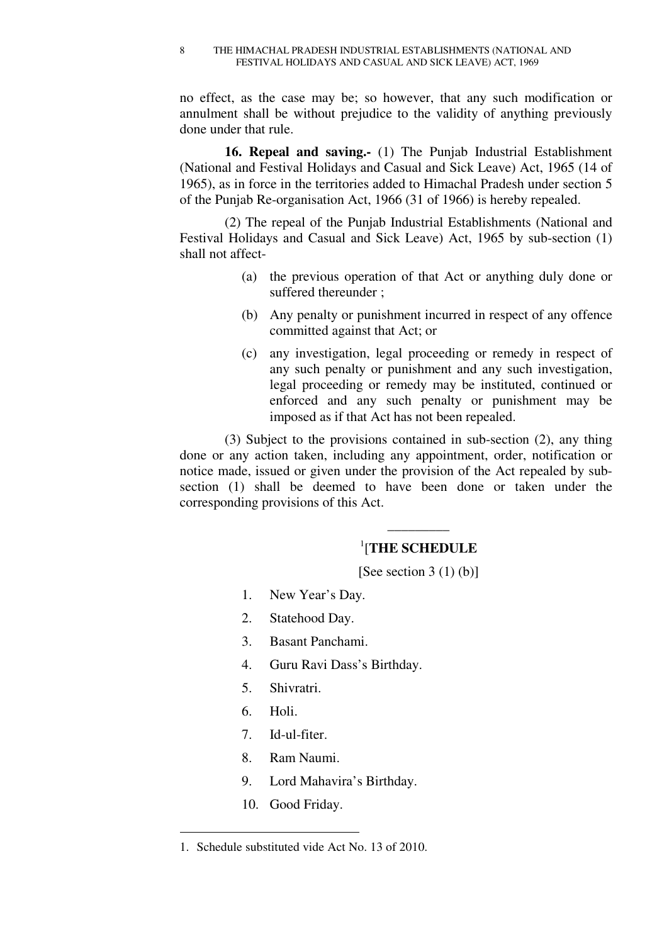no effect, as the case may be; so however, that any such modification or annulment shall be without prejudice to the validity of anything previously done under that rule.

**16. Repeal and saving.-** (1) The Punjab Industrial Establishment (National and Festival Holidays and Casual and Sick Leave) Act, 1965 (14 of 1965), as in force in the territories added to Himachal Pradesh under section 5 of the Punjab Re-organisation Act, 1966 (31 of 1966) is hereby repealed.

(2) The repeal of the Punjab Industrial Establishments (National and Festival Holidays and Casual and Sick Leave) Act, 1965 by sub-section (1) shall not affect-

- (a) the previous operation of that Act or anything duly done or suffered thereunder ;
- (b) Any penalty or punishment incurred in respect of any offence committed against that Act; or
- (c) any investigation, legal proceeding or remedy in respect of any such penalty or punishment and any such investigation, legal proceeding or remedy may be instituted, continued or enforced and any such penalty or punishment may be imposed as if that Act has not been repealed.

(3) Subject to the provisions contained in sub-section (2), any thing done or any action taken, including any appointment, order, notification or notice made, issued or given under the provision of the Act repealed by subsection (1) shall be deemed to have been done or taken under the corresponding provisions of this Act.

# \_\_\_\_\_\_\_\_\_ 1 [**THE SCHEDULE**

[See section  $3(1)(b)$ ]

- 1. New Year's Day.
- 2. Statehood Day.
- 3. Basant Panchami.
- 4. Guru Ravi Dass's Birthday.
- 5. Shivratri.
- 6. Holi.

- 7. Id-ul-fiter.
- 8. Ram Naumi.
- 9. Lord Mahavira's Birthday.
- 10. Good Friday.

<sup>1.</sup> Schedule substituted vide Act No. 13 of 2010.